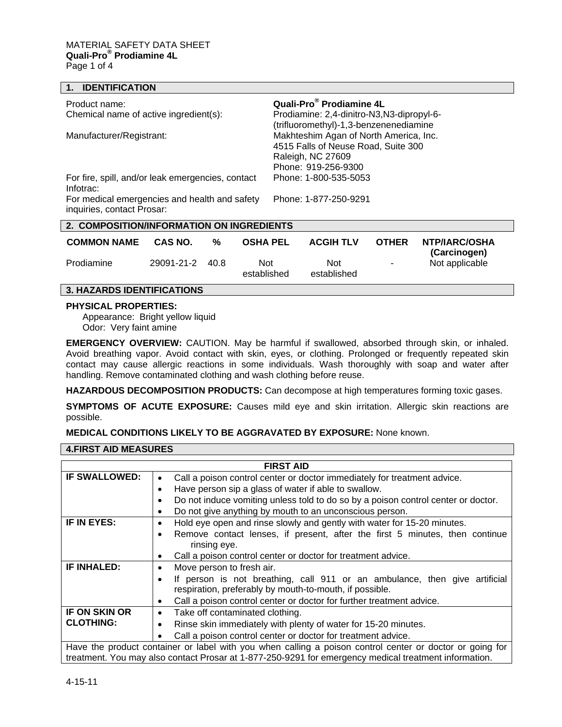| <b>IDENTIFICATION</b>                                                       |                                                                                                                           |
|-----------------------------------------------------------------------------|---------------------------------------------------------------------------------------------------------------------------|
| Product name:                                                               | Quali-Pro <sup>®</sup> Prodiamine 4L                                                                                      |
| Chemical name of active ingredient(s):                                      | Prodiamine: 2,4-dinitro-N3,N3-dipropyl-6-<br>(trifluoromethyl)-1,3-benzenenediamine                                       |
| Manufacturer/Registrant:                                                    | Makhteshim Agan of North America, Inc.<br>4515 Falls of Neuse Road, Suite 300<br>Raleigh, NC 27609<br>Phone: 919-256-9300 |
| For fire, spill, and/or leak emergencies, contact<br>Infotrac:              | Phone: 1-800-535-5053                                                                                                     |
| For medical emergencies and health and safety<br>inquiries, contact Prosar: | Phone: 1-877-250-9291                                                                                                     |
| 2. COMPOSITION/INFORMATION ON INGREDIENTS                                   |                                                                                                                           |

| <b>COMMON NAME</b> | CAS NO.         | % | <b>OSHA PEL</b>    | <b>ACGIH TLV</b>   | <b>OTHER</b> | NTP/IARC/OSHA<br>(Carcinogen) |
|--------------------|-----------------|---|--------------------|--------------------|--------------|-------------------------------|
| Prodiamine         | 29091-21-2 40.8 |   | Not<br>established | Not<br>established | $\sim$       | Not applicable                |

# **3. HAZARDS IDENTIFICATIONS**

#### **PHYSICAL PROPERTIES:**

Appearance: Bright yellow liquid Odor: Very faint amine

**EMERGENCY OVERVIEW:** CAUTION. May be harmful if swallowed, absorbed through skin, or inhaled. Avoid breathing vapor. Avoid contact with skin, eyes, or clothing. Prolonged or frequently repeated skin contact may cause allergic reactions in some individuals. Wash thoroughly with soap and water after handling. Remove contaminated clothing and wash clothing before reuse.

**HAZARDOUS DECOMPOSITION PRODUCTS:** Can decompose at high temperatures forming toxic gases.

**SYMPTOMS OF ACUTE EXPOSURE:** Causes mild eye and skin irritation. Allergic skin reactions are possible.

# **MEDICAL CONDITIONS LIKELY TO BE AGGRAVATED BY EXPOSURE:** None known.

# **4.FIRST AID MEASURES**

| <b>FIRST AID</b>                                                                                         |                                                                                                       |  |
|----------------------------------------------------------------------------------------------------------|-------------------------------------------------------------------------------------------------------|--|
| <b>IF SWALLOWED:</b>                                                                                     | Call a poison control center or doctor immediately for treatment advice.<br>$\bullet$                 |  |
|                                                                                                          | Have person sip a glass of water if able to swallow.<br>$\bullet$                                     |  |
|                                                                                                          | Do not induce vomiting unless told to do so by a poison control center or doctor.<br>$\bullet$        |  |
|                                                                                                          | Do not give anything by mouth to an unconscious person.<br>$\bullet$                                  |  |
| IF IN EYES:                                                                                              | Hold eye open and rinse slowly and gently with water for 15-20 minutes.<br>$\bullet$                  |  |
|                                                                                                          | Remove contact lenses, if present, after the first 5 minutes, then continue<br>$\bullet$              |  |
|                                                                                                          | rinsing eye.                                                                                          |  |
|                                                                                                          | Call a poison control center or doctor for treatment advice.<br>$\bullet$                             |  |
| IF INHALED:                                                                                              | Move person to fresh air.<br>$\bullet$                                                                |  |
|                                                                                                          | If person is not breathing, call 911 or an ambulance, then give artificial<br>$\bullet$               |  |
|                                                                                                          | respiration, preferably by mouth-to-mouth, if possible.                                               |  |
|                                                                                                          | Call a poison control center or doctor for further treatment advice.<br>$\bullet$                     |  |
| <b>IF ON SKIN OR</b>                                                                                     | Take off contaminated clothing.<br>$\bullet$                                                          |  |
| <b>CLOTHING:</b>                                                                                         | Rinse skin immediately with plenty of water for 15-20 minutes.<br>٠                                   |  |
|                                                                                                          | Call a poison control center or doctor for treatment advice.                                          |  |
| Have the product container or label with you when calling a poison control center or doctor or going for |                                                                                                       |  |
|                                                                                                          | treatment. You may also contact Prosar at 1-877-250-9291 for emergency medical treatment information. |  |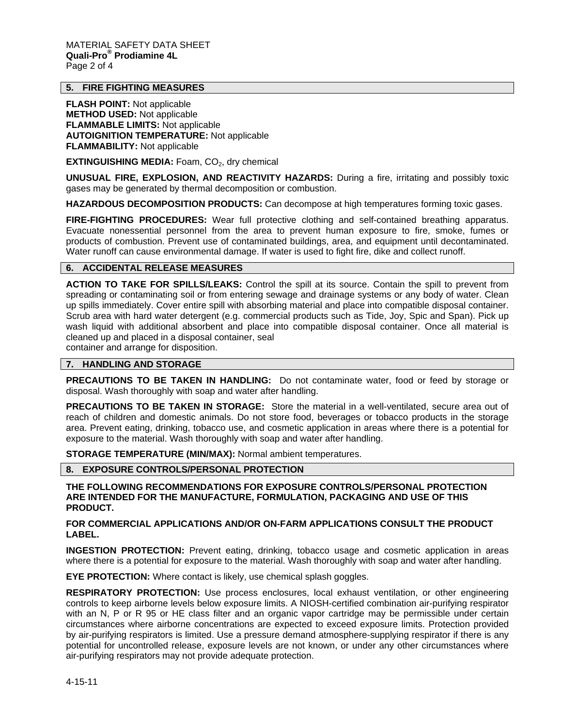# **5. FIRE FIGHTING MEASURES**

**FLASH POINT:** Not applicable **METHOD USED:** Not applicable **FLAMMABLE LIMITS:** Not applicable **AUTOIGNITION TEMPERATURE:** Not applicable **FLAMMABILITY:** Not applicable

**EXTINGUISHING MEDIA:** Foam, CO<sub>2</sub>, dry chemical

**UNUSUAL FIRE, EXPLOSION, AND REACTIVITY HAZARDS:** During a fire, irritating and possibly toxic gases may be generated by thermal decomposition or combustion.

**HAZARDOUS DECOMPOSITION PRODUCTS:** Can decompose at high temperatures forming toxic gases.

**FIRE-FIGHTING PROCEDURES:** Wear full protective clothing and self-contained breathing apparatus. Evacuate nonessential personnel from the area to prevent human exposure to fire, smoke, fumes or products of combustion. Prevent use of contaminated buildings, area, and equipment until decontaminated. Water runoff can cause environmental damage. If water is used to fight fire, dike and collect runoff.

# **6. ACCIDENTAL RELEASE MEASURES**

**ACTION TO TAKE FOR SPILLS/LEAKS:** Control the spill at its source. Contain the spill to prevent from spreading or contaminating soil or from entering sewage and drainage systems or any body of water. Clean up spills immediately. Cover entire spill with absorbing material and place into compatible disposal container. Scrub area with hard water detergent (e.g. commercial products such as Tide, Joy, Spic and Span). Pick up wash liquid with additional absorbent and place into compatible disposal container. Once all material is cleaned up and placed in a disposal container, seal

container and arrange for disposition.

# **7. HANDLING AND STORAGE**

**PRECAUTIONS TO BE TAKEN IN HANDLING:** Do not contaminate water, food or feed by storage or disposal. Wash thoroughly with soap and water after handling.

**PRECAUTIONS TO BE TAKEN IN STORAGE:** Store the material in a well-ventilated, secure area out of reach of children and domestic animals. Do not store food, beverages or tobacco products in the storage area. Prevent eating, drinking, tobacco use, and cosmetic application in areas where there is a potential for exposure to the material. Wash thoroughly with soap and water after handling.

**STORAGE TEMPERATURE (MIN/MAX):** Normal ambient temperatures.

**8. EXPOSURE CONTROLS/PERSONAL PROTECTION** 

**THE FOLLOWING RECOMMENDATIONS FOR EXPOSURE CONTROLS/PERSONAL PROTECTION ARE INTENDED FOR THE MANUFACTURE, FORMULATION, PACKAGING AND USE OF THIS PRODUCT.** 

### **FOR COMMERCIAL APPLICATIONS AND/OR ON-FARM APPLICATIONS CONSULT THE PRODUCT LABEL.**

**INGESTION PROTECTION:** Prevent eating, drinking, tobacco usage and cosmetic application in areas where there is a potential for exposure to the material. Wash thoroughly with soap and water after handling.

**EYE PROTECTION:** Where contact is likely, use chemical splash goggles.

**RESPIRATORY PROTECTION:** Use process enclosures, local exhaust ventilation, or other engineering controls to keep airborne levels below exposure limits. A NIOSH-certified combination air-purifying respirator with an N, P or R 95 or HE class filter and an organic vapor cartridge may be permissible under certain circumstances where airborne concentrations are expected to exceed exposure limits. Protection provided by air-purifying respirators is limited. Use a pressure demand atmosphere-supplying respirator if there is any potential for uncontrolled release, exposure levels are not known, or under any other circumstances where air-purifying respirators may not provide adequate protection.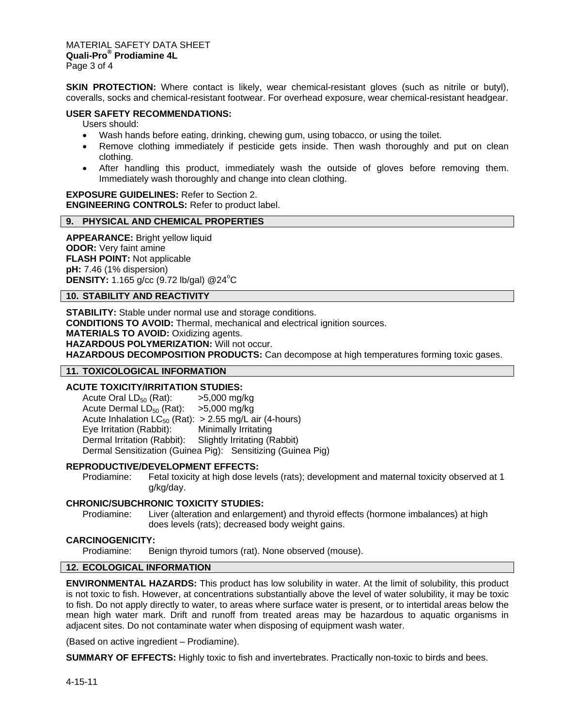MATERIAL SAFETY DATA SHEET **Quali-Pro® Prodiamine 4L**  Page 3 of 4

**SKIN PROTECTION:** Where contact is likely, wear chemical-resistant gloves (such as nitrile or butyl), coveralls, socks and chemical-resistant footwear. For overhead exposure, wear chemical-resistant headgear.

## **USER SAFETY RECOMMENDATIONS:**

Users should:

- Wash hands before eating, drinking, chewing gum, using tobacco, or using the toilet.
- Remove clothing immediately if pesticide gets inside. Then wash thoroughly and put on clean clothing.
- After handling this product, immediately wash the outside of gloves before removing them. Immediately wash thoroughly and change into clean clothing.

**EXPOSURE GUIDELINES:** Refer to Section 2. **ENGINEERING CONTROLS:** Refer to product label.

#### **9. PHYSICAL AND CHEMICAL PROPERTIES**

**APPEARANCE:** Bright yellow liquid **ODOR:** Very faint amine **FLASH POINT:** Not applicable **pH:** 7.46 (1% dispersion) **DENSITY:** 1.165 g/cc (9.72 lb/gal) @24<sup>°</sup>C

# **10. STABILITY AND REACTIVITY**

**STABILITY:** Stable under normal use and storage conditions. **CONDITIONS TO AVOID:** Thermal, mechanical and electrical ignition sources. **MATERIALS TO AVOID:** Oxidizing agents. **HAZARDOUS POLYMERIZATION:** Will not occur. **HAZARDOUS DECOMPOSITION PRODUCTS:** Can decompose at high temperatures forming toxic gases.

#### **11. TOXICOLOGICAL INFORMATION**

### **ACUTE TOXICITY/IRRITATION STUDIES:**

Acute Oral LD<sub>50</sub> (Rat):  $\longrightarrow$  5,000 mg/kg<br>Acute Dermal LD<sub>50</sub> (Rat):  $\longrightarrow$  5,000 mg/kg Acute Dermal  $LD_{50}$  (Rat): Acute Inhalation  $LC_{50}$  (Rat):  $> 2.55$  mg/L air (4-hours)<br>Eye Irritation (Rabbit): Minimally Irritating Eye Irritation (Rabbit): Dermal Irritation (Rabbit): Slightly Irritating (Rabbit) Dermal Sensitization (Guinea Pig): Sensitizing (Guinea Pig)

#### **REPRODUCTIVE/DEVELOPMENT EFFECTS:**

Prodiamine: Fetal toxicity at high dose levels (rats); development and maternal toxicity observed at 1 g/kg/day.

#### **CHRONIC/SUBCHRONIC TOXICITY STUDIES:**

Prodiamine: Liver (alteration and enlargement) and thyroid effects (hormone imbalances) at high does levels (rats); decreased body weight gains.

### **CARCINOGENICITY:**

Prodiamine: Benign thyroid tumors (rat). None observed (mouse).

# **12. ECOLOGICAL INFORMATION**

**ENVIRONMENTAL HAZARDS:** This product has low solubility in water. At the limit of solubility, this product is not toxic to fish. However, at concentrations substantially above the level of water solubility, it may be toxic to fish. Do not apply directly to water, to areas where surface water is present, or to intertidal areas below the mean high water mark. Drift and runoff from treated areas may be hazardous to aquatic organisms in adjacent sites. Do not contaminate water when disposing of equipment wash water.

(Based on active ingredient – Prodiamine).

**SUMMARY OF EFFECTS:** Highly toxic to fish and invertebrates. Practically non-toxic to birds and bees.